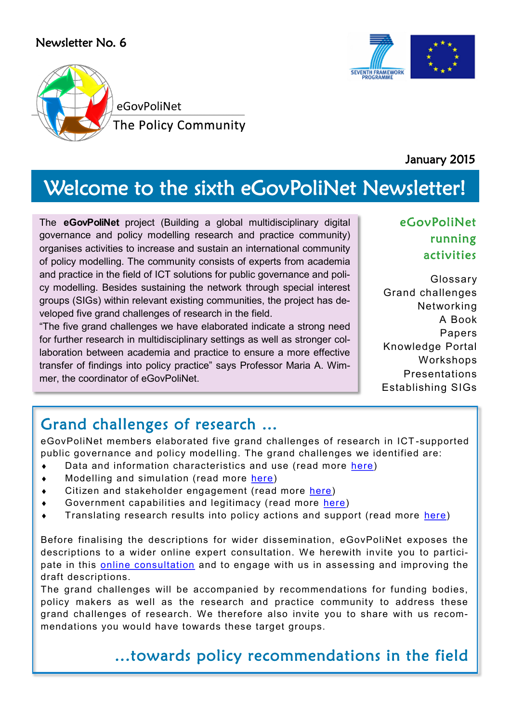#### Newsletter No. 6



January 2015

# Welcome to the sixth eGovPoliNet Newsletter!

The **eGovPoliNet** project (Building a global multidisciplinary digital governance and policy modelling research and practice community) organises activities to increase and sustain an international community of policy modelling. The community consists of experts from academia and practice in the field of ICT solutions for public governance and policy modelling. Besides sustaining the network through special interest groups (SIGs) within relevant existing communities, the project has developed five grand challenges of research in the field.

"The five grand challenges we have elaborated indicate a strong need for further research in multidisciplinary settings as well as stronger collaboration between academia and practice to ensure a more effective transfer of findings into policy practice" says Professor Maria A. Wimmer, the coordinator of eGovPoliNet.

## eGovPoliNet running activities

Glossary Grand challenges Networking A Book Papers Knowledge Portal Workshops Presentations Establishing SIGs

## Grand challenges of research …

eGovPoliNet members elaborated five grand challenges of research in ICT -supported public governance and policy modelling. The grand challenges we identified are:

- Data and information characteristics and use (read more [here\)](http://www.policy-community.eu/results/grand-challenges-of-research/grand-challenge-1)
- **Modelling and simulation (read more [here\)](http://www.policy-community.eu/results/grand-challenges-of-research/grand-challenge-2)**
- Citizen and stakeholder engagement (read more [here\)](http://www.policy-community.eu/results/grand-challenges-of-research/grand-challenge-3)
- Government capabilities and legitimacy (read more [here\)](http://www.policy-community.eu/results/grand-challenges-of-research/grand-challenge-4)
- Translating research results into policy actions and support (read more [here\)](http://www.policy-community.eu/results/grand-challenges-of-research/grand-challenge-5)

Before finalising the descriptions for wider dissemination, eGovPoliNet exposes the descriptions to a wider online expert consultation. We herewith invite you to participate in this **[online consultation](http://www.policy-community.eu/results/grand-challenges-of-research/)** and to engage with us in assessing and improving the draft descriptions.

The grand challenges will be accompanied by recommendations for funding bodies, policy makers as well as the research and practice community to address these grand challenges of research. We therefore also invite you to share with us recommendations you would have towards these target groups.

...towards policy recommendations in the field

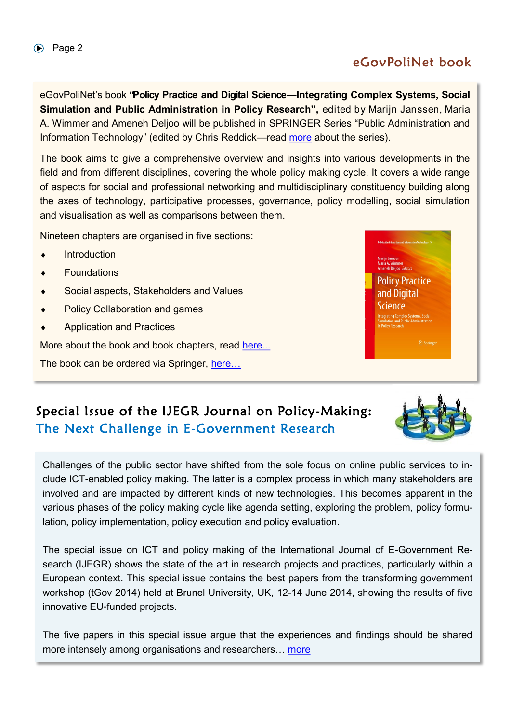### eGovPoliNet book

eGovPoliNet's book **"Policy Practice and Digital Science—Integrating Complex Systems, Social Simulation and Public Administration in Policy Research", edited by Marijn Janssen, Maria** A. Wimmer and Ameneh Deljoo will be published in SPRINGER Series "Public Administration and Information Technology" (edited by Chris Reddick—read [more](http://www.springer.com/series/10796#!) about the series).

The book aims to give a comprehensive overview and insights into various developments in the field and from different disciplines, covering the whole policy making cycle. It covers a wide range of aspects for social and professional networking and multidisciplinary constituency building along the axes of technology, participative processes, governance, policy modelling, social simulation and visualisation as well as comparisons between them.

Nineteen chapters are organised in five sections:

- Introduction
- Foundations
- Social aspects, Stakeholders and Values
- Policy Collaboration and games
- Application and Practices

More about the book and book chapters, read [here...](http://www.policy-community.eu/results/technical-reports-and-publications/papers/egovpolinet-book-201cpolicy-practice-and-digital-science2014integrating-complex-systems-social-simulation-and-public-administration-in-policy-research201d)

The book can be ordered via Springer, here...



## Special Issue of the IJEGR Journal on Policy-Making: The Next Challenge in E-Government Research



Challenges of the public sector have shifted from the sole focus on online public services to include ICT-enabled policy making. The latter is a complex process in which many stakeholders are involved and are impacted by different kinds of new technologies. This becomes apparent in the various phases of the policy making cycle like agenda setting, exploring the problem, policy formulation, policy implementation, policy execution and policy evaluation.

The special issue on ICT and policy making of the International Journal of E-Government Research (IJEGR) shows the state of the art in research projects and practices, particularly within a European context. This special issue contains the best papers from the transforming government workshop (tGov 2014) held at Brunel University, UK, 12-14 June 2014, showing the results of five innovative EU-funded projects.

The five papers in this special issue argue that the experiences and findings should be shared more intensely among organisations and researchers… [more](http://www.policy-community.eu/news-events/news/news-repository/special-issue-on-policy-making-the-next-challenge-in-e-government-research)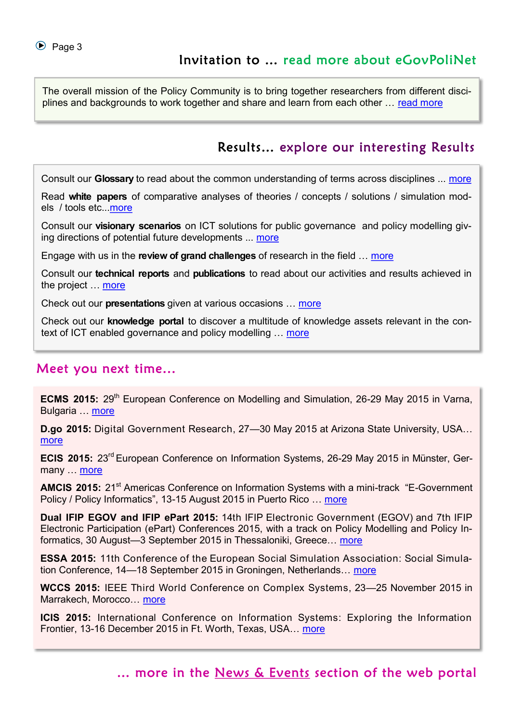The overall mission of the Policy Community is to bring together researchers from different disciplines and backgrounds to work together and share and learn from each other … [read more](http://www.policy-community.eu/in-a-nutshell)

#### Results… explore our interesting Results

Consult our **Glossary** to read about the common understanding of terms across disciplines ... [more](http://www.policy-community.eu/results/glossary/)

Read **white papers** of comparative analyses of theories / concepts / solutions / simulation models / tools etc..[.more](http://www.policy-community.eu/results/annexes-to-d4.2)

Consult our **visionary scenarios** on ICT solutions for public governance and policy modelling giving directions of potential future developments ... [more](http://www.policy-community.eu/results/scenarios/)

Engage with us in the **review of grand challenges** of research in the field … [more](http://www.policy-community.eu/news-events/results/grand-challenges-of-research)

Consult our **technical reports** and **publications** to read about our activities and results achieved in the project . [more](http://www.policy-community.eu/results/technical-reports-and-publications/)

Check out our **presentations** given at various occasions … [more](http://www.policy-community.eu/results/presentations)

Check out our **knowledge portal** to discover a multitude of knowledge assets relevant in the context of ICT enabled governance and policy modelling … [more](http://195.251.218.39/egpn_platform/)

#### Meet you next time...

**ECMS 2015:** 29<sup>th</sup> European Conference on Modelling and Simulation, 26-29 May 2015 in Varna, Bulgaria … [more](http://www.policy-community.eu/news-events/events/events-repository/ecms-2015-29th-european-conference-on-modelling-and-simulation)

**D.go 2015:** Digital Government Research, 27—30 May 2015 at Arizona State University, USA… [more](http://www.policy-community.eu/news-events/events/events-repository/digital-government-research-d.go-2015)

**ECIS 2015:** 23rd European Conference on Information Systems, 26-29 May 2015 in Münster, Germany ... [more](http://www.policy-community.eu/news-events/events/events-repository/ecis-2015-23rd-european-conference-on-information-systems)

**AMCIS 2015:** 21<sup>st</sup> Americas Conference on Information Systems with a mini-track "E-Government" Policy / Policy Informatics", 13-15 August 2015 in Puerto Rico ... [more](http://www.policy-community.eu/news-events/events/events-repository/21st-americas-conference-on-information-systems-amcis-2015)

**Dual IFIP EGOV and IFIP ePart 2015:** 14th IFIP Electronic Government (EGOV) and 7th IFIP Electronic Participation (ePart) Conferences 2015, with a track on Policy Modelling and Policy Informatics, 30 August—3 September 2015 in Thessaloniki, Greece… [more](http://www.policy-community.eu/news-events/events/events-repository/dual-ifip-egov-2015-and-ifip-epart-2015-conference)

**ESSA 2015:** 11th Conference of the European Social Simulation Association: Social Simulation Conference, 14—18 September 2015 in Groningen, Netherlands… [more](http://www.policy-community.eu/news-events/events/events-repository/11th-conference-of-the-european-social-simulation-association-social-simulation-conference)

**WCCS 2015:** IEEE Third World Conference on Complex Systems, 23—25 November 2015 in Marrakech, Morocco… [more](http://www.policy-community.eu/news-events/events/events-repository/wccs-2015-ieee-third-world-conference-on-complex-systems)

**ICIS 2015:** International Conference on Information Systems: Exploring the Information Frontier, 13-16 December 2015 in Ft. Worth, Texas, USA... [more](http://www.policy-community.eu/news-events/events/events-repository/2015-international-conference-on-information-systems-icis-2015)